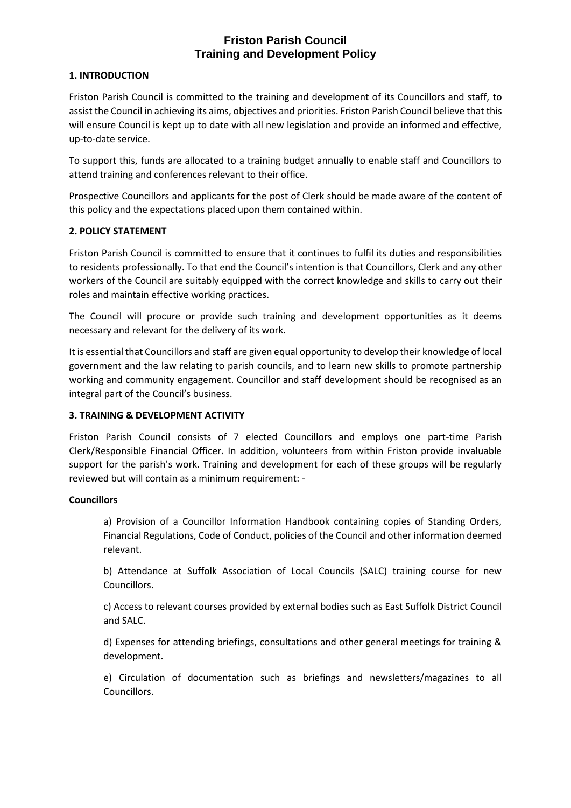# **Friston Parish Council Training and Development Policy**

### **1. INTRODUCTION**

Friston Parish Council is committed to the training and development of its Councillors and staff, to assist the Council in achieving its aims, objectives and priorities. Friston Parish Council believe that this will ensure Council is kept up to date with all new legislation and provide an informed and effective, up-to-date service.

To support this, funds are allocated to a training budget annually to enable staff and Councillors to attend training and conferences relevant to their office.

Prospective Councillors and applicants for the post of Clerk should be made aware of the content of this policy and the expectations placed upon them contained within.

### **2. POLICY STATEMENT**

Friston Parish Council is committed to ensure that it continues to fulfil its duties and responsibilities to residents professionally. To that end the Council's intention is that Councillors, Clerk and any other workers of the Council are suitably equipped with the correct knowledge and skills to carry out their roles and maintain effective working practices.

The Council will procure or provide such training and development opportunities as it deems necessary and relevant for the delivery of its work.

It is essential that Councillors and staff are given equal opportunity to develop their knowledge of local government and the law relating to parish councils, and to learn new skills to promote partnership working and community engagement. Councillor and staff development should be recognised as an integral part of the Council's business.

## **3. TRAINING & DEVELOPMENT ACTIVITY**

Friston Parish Council consists of 7 elected Councillors and employs one part-time Parish Clerk/Responsible Financial Officer. In addition, volunteers from within Friston provide invaluable support for the parish's work. Training and development for each of these groups will be regularly reviewed but will contain as a minimum requirement: -

#### **Councillors**

a) Provision of a Councillor Information Handbook containing copies of Standing Orders, Financial Regulations, Code of Conduct, policies of the Council and other information deemed relevant.

b) Attendance at Suffolk Association of Local Councils (SALC) training course for new Councillors.

c) Access to relevant courses provided by external bodies such as East Suffolk District Council and SALC.

d) Expenses for attending briefings, consultations and other general meetings for training & development.

e) Circulation of documentation such as briefings and newsletters/magazines to all Councillors.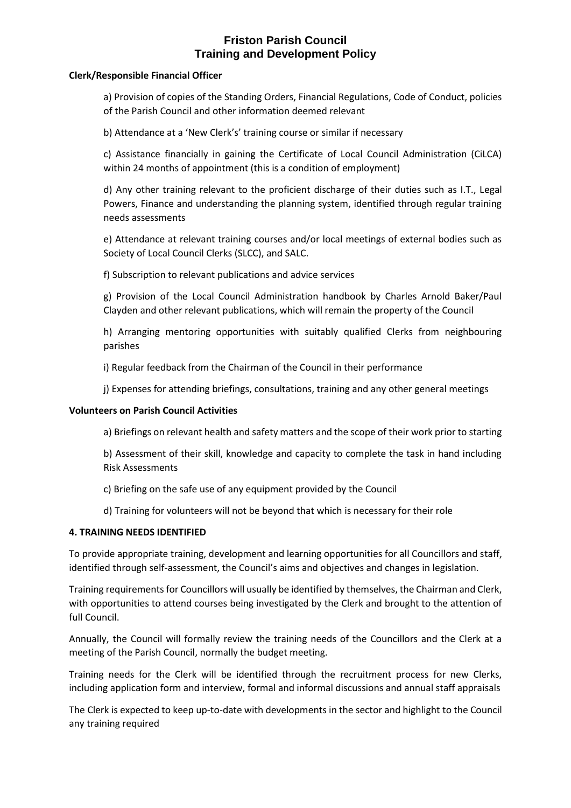# **Friston Parish Council Training and Development Policy**

#### **Clerk/Responsible Financial Officer**

a) Provision of copies of the Standing Orders, Financial Regulations, Code of Conduct, policies of the Parish Council and other information deemed relevant

b) Attendance at a 'New Clerk's' training course or similar if necessary

c) Assistance financially in gaining the Certificate of Local Council Administration (CiLCA) within 24 months of appointment (this is a condition of employment)

d) Any other training relevant to the proficient discharge of their duties such as I.T., Legal Powers, Finance and understanding the planning system, identified through regular training needs assessments

e) Attendance at relevant training courses and/or local meetings of external bodies such as Society of Local Council Clerks (SLCC), and SALC.

f) Subscription to relevant publications and advice services

g) Provision of the Local Council Administration handbook by Charles Arnold Baker/Paul Clayden and other relevant publications, which will remain the property of the Council

h) Arranging mentoring opportunities with suitably qualified Clerks from neighbouring parishes

i) Regular feedback from the Chairman of the Council in their performance

j) Expenses for attending briefings, consultations, training and any other general meetings

#### **Volunteers on Parish Council Activities**

a) Briefings on relevant health and safety matters and the scope of their work prior to starting

b) Assessment of their skill, knowledge and capacity to complete the task in hand including Risk Assessments

c) Briefing on the safe use of any equipment provided by the Council

d) Training for volunteers will not be beyond that which is necessary for their role

#### **4. TRAINING NEEDS IDENTIFIED**

To provide appropriate training, development and learning opportunities for all Councillors and staff, identified through self-assessment, the Council's aims and objectives and changes in legislation.

Training requirements for Councillors will usually be identified by themselves, the Chairman and Clerk, with opportunities to attend courses being investigated by the Clerk and brought to the attention of full Council.

Annually, the Council will formally review the training needs of the Councillors and the Clerk at a meeting of the Parish Council, normally the budget meeting.

Training needs for the Clerk will be identified through the recruitment process for new Clerks, including application form and interview, formal and informal discussions and annual staff appraisals

The Clerk is expected to keep up-to-date with developments in the sector and highlight to the Council any training required